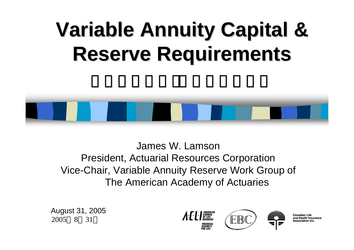# **Variable Annuity Capital & Variable Annuity Capital & Reserve Requirements Reserve Requirements**



James W. LamsonPresident, Actuarial Resources Corporation Vice-Chair, Variable Annuity Reserve Work Group of The American Academy of Actuaries

2005 8 31 August 31, 2005

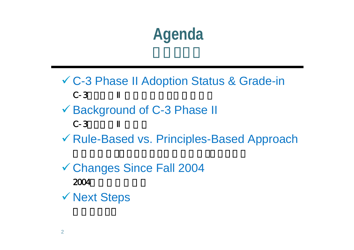# **Agenda**

- 9 C-3 Phase II Adoption Status & Grade-in  $C-3$
- 9 Background of C-3 Phase II  $C-3$
- ✔ Rule-Based vs. Principles-Based Approach
- 9 Changes Since Fall 2004  $2004$ √ Next Steps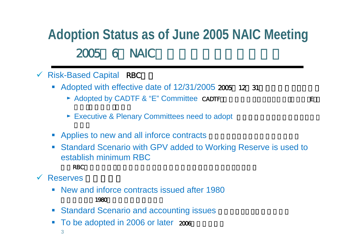### **Adoption Status as of June 2005 NAIC Meeting** 2005 6 NAIC

- $\checkmark$  Risk-Based Capital RBC
	- Adopted with effective date of  $12/31/2005$   $205$  12 31
		- ► Adopted by CADTF & "E" Committee CADTF( $\overline{C}$
		- ► Executive & Plenary Committees need to adopt
	- Applies to new and all inforce contracts
	- $\mathcal{C}^{\mathcal{A}}$  Standard Scenario with GPV added to Working Reserve is used to establish minimum RBC
		- $RBC$
- $\checkmark$ **Reserves** 
	- **Contract Contract Contract Contract Contract Contract Contract Contract Contract Contract Contract Contract Co**  New and inforce contracts issued after 1980 1980
	- $\mathcal{L}_{\mathcal{A}}$ **Standard Scenario and accounting issues**
	- $\mathcal{L}_{\mathcal{A}}$ To be adopted in 2006 or later  $2006$ 
		- 3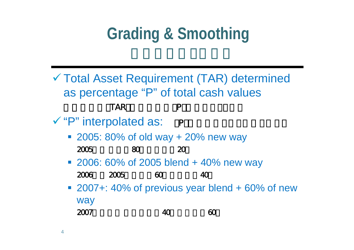# **Grading & Smoothing**

- √ Total Asset Requirement (TAR) determined as percentage "P" of total cash values 総資産要件(TAR)は総価額の「P」パーセントとする√ "P" interpolated as: P
	- 2005: 80% of old way + 20% new way

| 2005 | 80 | 20 |
|------|----|----|
|------|----|----|

- 2006: 60% of 2005 blend + 40% new way
	- 2006 2005 60 40
- 2007+: 40% of previous year blend + 60% of new way
	- 2007年以降: 前年の混合40%+新方式60%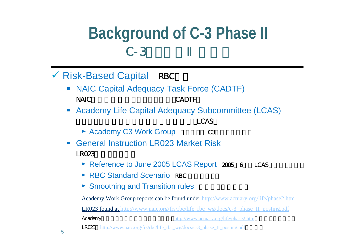### **Background of C-3 Phase II**  $C-3$

- √ Risk-Based Capital RBC
	- NAIC Capital Adequacy Task Force (CADTF) NAIC CADTF
	- **Contract Contract Contract Contract Contract Contract Contract Contract Contract Contract Contract Contract Co** Academy Life Capital Adequacy Subcommittee (LCAS)

LCAS

- ► Academy C3 Work Group C3
- $\sim$  General Instruction LR023 Market Risk $LRO23$ 
	- ► Reference to June 2005 LCAS Report 2005 6 LCAS
	- $\triangleright$  RBC Standard Scenario RBC
	- ► Smoothing and Transition rules

Academy Work Group reports can be found under <http://www.actuary.org/life/phase2.htm>

LR023 found at [http://www.naic.org/frs/rbc/life\\_rbc\\_wg/docs/c-3\\_phase\\_II\\_posting.pdf](http://www.naic.org/frs/rbc/life_rbc_wg/docs/c-3_phase_II_posting.pdf)

Academy http://www.ac[tuary.org/life/phase2.htm](http://www.actuary.org/life/phase2.htm)

**LR023** http://www.naic.org/frs/rbc/life rbc\_wg/docs/c-3\_phase\_II\_posting.pdf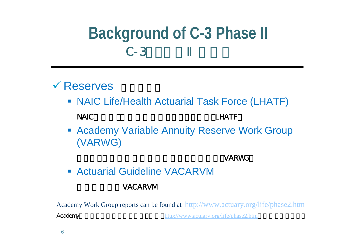## **Background of C-3 Phase II**  $C-3$

### $\checkmark$  Reserves

- NAIC Life/Health Actuarial Task Force (LHATF) NAIC LHATF
- **Academy Variable Annuity Reserve Work Group** (VARWG)

#### VARWG

**Example 21 Actuarial Guideline VACARVM** 

#### VACARVM

Academy Work Group reports can be found at <http://www.actuary.org/life/phase2.htm>

Academy http://www.actuary.org[/life/phase2.htm](http://www.actuary.org/life/phase2.htm)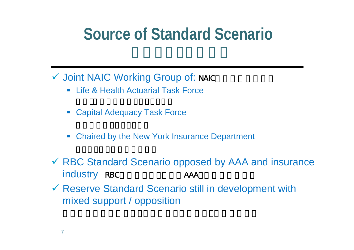## **Source of Standard Scenario**

- √ Joint NAIC Working Group of: NAIC
	- $\Box$ Life & Health Actuarial Task Force
	- Capital Adequacy Task Force
	- $\overline{\phantom{a}}$ Chaired by the New York Insurance Department
- ✔ RBC Standard Scenario opposed by AAA and insurance industry RBC AAA
- $\checkmark$  Reserve Standard Scenario still in development with mixed support / opposition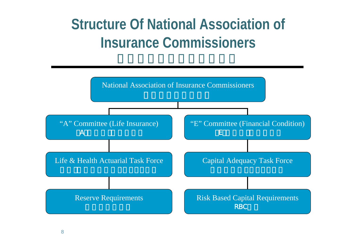### **Structure Of National Association of Insurance Commissioners**

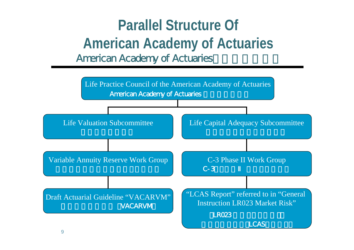### **Parallel Structure Of American Academy of Actuaries** American Academy of Actuaries

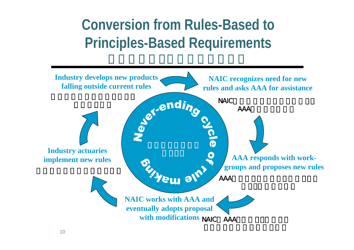### **Conversion from Rules-Based to Principles-Based Requirements**

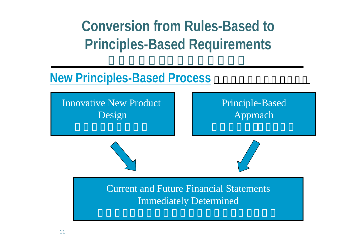**Conversion from Rules-Based to Principles-Based Requirements**

### **New Principles-Based Process**

Innovative New Product Design

### Principle-Based Approach

Current and Future Financial StatementsImmediately Determined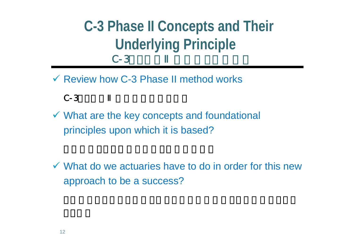### **C-3 Phase II Concepts and Their Underlying Principle**  $C-3$

 $\checkmark$  Review how C-3 Phase II method works



 $\checkmark$  What are the key concepts and foundational principles upon which it is based?

 $\checkmark$  What do we actuaries have to do in order for this new approach to be a success?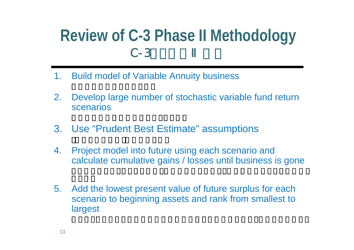### **Review of C-3 Phase II Methodology**  $C-3$

- 1.Build model of Variable Annuity business
- 2. Develop large number of stochastic variable fund return scenarios
- 3. Use "Prudent Best Estimate" assumptions
- 4. Project model into future using each scenario and calculate cumulative gains / losses until business is gone
- 5. Add the lowest present value of future surplus for each scenario to beginning assets and rank from smallest to largest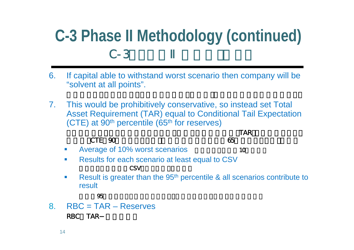## **C-3 Phase II Methodology (continued)**  $C-3$

- 6. If capital able to withstand worst scenario then company will be "solvent at all points".
- 7. This would be prohibitively conservative, so instead set Total Asset Requirement (TAR) equal to Conditional Tail Expectation  $(CTE)$  at 90<sup>th</sup> percentile (65<sup>th</sup> for reserves)

|                |                                                 | <b>TAR</b> |
|----------------|-------------------------------------------------|------------|
|                | CTE 90                                          | 65         |
|                | • Average of 10% worst scenarios                | 10         |
| <b>Barbara</b> | Results for each scenario at least equal to CSV |            |
|                |                                                 |            |

 $\overline{\phantom{a}}$  Result is greater than the 95th percentile & all scenarios contribute to result

8. RBC = TAR – Reserves RBC TAR

結果は95パーセンタイルを超えており、すべてのシナリオがこの結果に寄与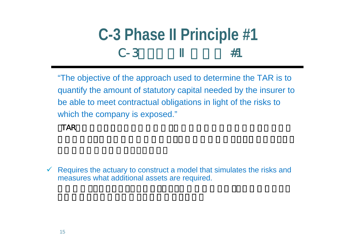#### **C-3 Phase II Principle #1**  $C - 3$ #1

"The objective of the approach used to determine the TAR is to quantify the amount of statutory capital needed by the insurer to be able to meet contractual obligations in light of the risks to which the company is exposed."

TAR TAR

 $\checkmark$  Requires the actuary to construct a model that simulates the risks and measures what additional assets are required.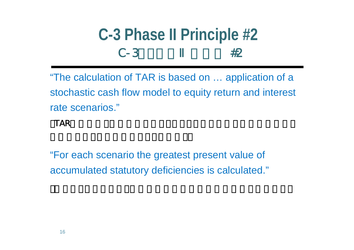### **C-3 Phase II Principle #2**  $C-3$ #2

"The calculation of TAR is based on … application of a stochastic cash flow model to equity return and interest rate scenarios."

#### $TAR$

"For each scenario the greatest present value of accumulated statutory deficiencies is calculated."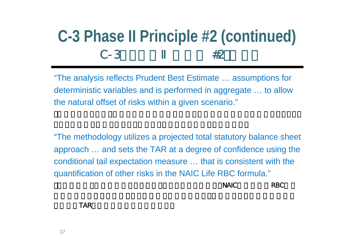### **C-3 Phase II Principle #2 (continued)**  $C-3$ #2

"The analysis reflects Prudent Best Estimate … assumptions for deterministic variables and is performed in aggregate … to allow the natural offset of risks within a given scenario."

"The methodology utilizes a projected total statutory balance sheet approach … and sets the TAR at a degree of confidence using the conditional tail expectation measure … that is consistent with the quantification of other risks in the NAIC Life RBC formula."

 $N$ AIC RBC

TAR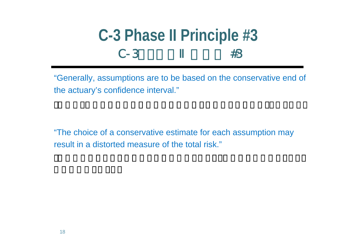#### **C-3 Phase II Principle #3**  $C-3$ #3

"Generally, assumptions are to be based on the conservative end of the actuary's confidence interval."

"The choice of a conservative estimate for each assumption may result in a distorted measure of the total risk."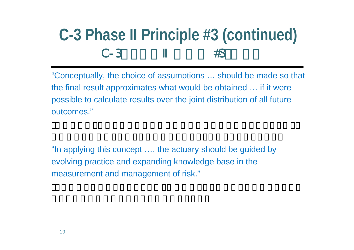### **C-3 Phase II Principle #3 (continued)**  $C-3$ #3

"Conceptually, the choice of assumptions … should be made so that the final result approximates what would be obtained … if it were possible to calculate results over the joint distribution of all future outcomes."

"In applying this concept …, the actuary should be guided by evolving practice and expanding knowledge base in the measurement and management of risk."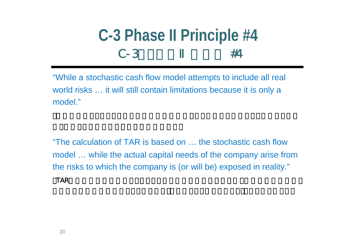#### **C-3 Phase II Principle #4**  $C-3$ #4

"While a stochastic cash flow model attempts to include all real world risks … it will still contain limitations because it is only a model."

"The calculation of TAR is based on … the stochastic cash flow model … while the actual capital needs of the company arise from the risks to which the company is (or will be) exposed in reality."  $TAR$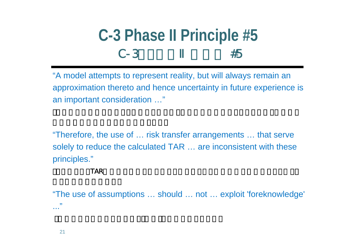#### **C-3 Phase II Principle #5**  $C-3$ #5

"A model attempts to represent reality, but will always remain an approximation thereto and hence uncertainty in future experience is an important consideration …"

"Therefore, the use of … risk transfer arrangements … that serve solely to reduce the calculated TAR … are inconsistent with these principles."

 $TAR$ 

"The use of assumptions … should … not … exploit 'foreknowledge' ..."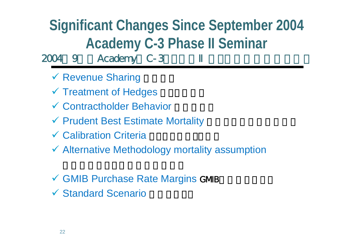## **Significant Changes Since September 2004 Academy C-3 Phase II Seminar**

2004 9 Academy C-3

- √ Revenue Sharing
- √ Treatment of Hedges
- $\checkmark$  Contractholder Behavior  $\checkmark$
- ◆ Prudent Best Estimate Mortality
- ◆ Calibration Criteria 2000 2000
- $\checkmark$  Alternative Methodology mortality assumption
- √ GMIB Purchase Rate Margins GMB
- ◆ Standard Scenario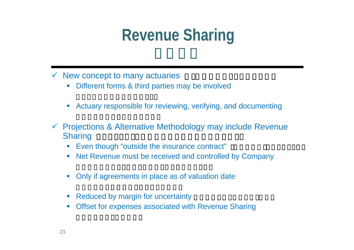# **Revenue Sharing**

- $\checkmark$  New concept to many actuaries  $\checkmark$ 
	- $\mathcal{L}_{\mathcal{A}}$ Different forms & third parties may be involved
	- $\mathcal{L}_{\mathcal{A}}$ Actuary responsible for reviewing, verifying, and documenting
- $\checkmark$  Projections & Alternative Methodology may include Revenue Sharing
	- $\mathcal{L}_{\mathcal{A}}$ Even though "outside the insurance contract"
	- $\mathcal{L}_{\mathcal{A}}$ Net Revenue must be received and controlled by Company
	- $\mathcal{L}_{\mathcal{A}}$ Only if agreements in place as of valuation date
	- П Reduced by margin for uncertainty
	- $\mathcal{C}$ Offset for expenses associated with Revenue Sharing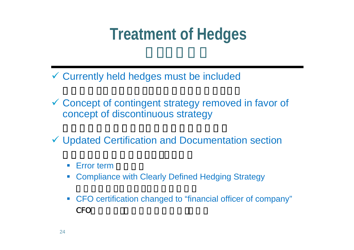# **Treatment of Hedges**

- 9 Currently held hedges must be included
- Goncept of contingent strategy removed in favor of concept of discontinuous strategy
- 9 Updated Certification and Documentation section
	- $\mathbb{R}^n$ **Error term**
	- $\blacksquare$ Compliance with Clearly Defined Hedging Strategy
	- $\mathcal{L}_{\mathcal{A}}$  CFO certification changed to "financial officer of company" CFO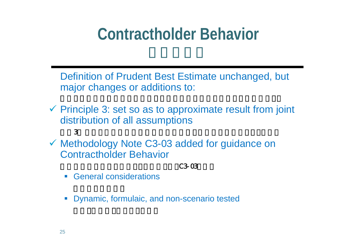## **Contractholder Behavior**

Definition of Prudent Best Estimate unchanged, but major changes or additions to:

- $\checkmark$  Principle 3: set so as to approximate result from joint distribution of all assumptions  $3$
- $\checkmark$  Methodology Note C3-03 added for guidance on Contractholder Behavior

 $C3-03$ 

- $\mathcal{L}_{\mathcal{A}}$ General considerations
- $\vert \cdot \vert$ Dynamic, formulaic, and non-scenario tested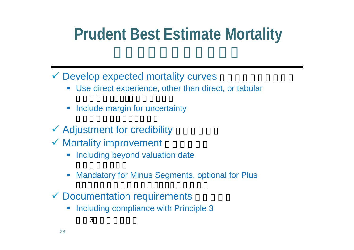# **Prudent Best Estimate Mortality**

### $\checkmark$  Develop expected mortality curves

- Use direct experience, other than direct, or tabular
- $\overline{\phantom{a}}$ Include margin for uncertainty
- $\checkmark$  Adjustment for credibility
- $\checkmark$  Mortality improvement

 $\sim$  3

- $\mathcal{L}_{\mathcal{A}}$ Including beyond valuation date
- $\mathbb{R}^3$ Mandatory for Minus Segments, optional for Plus
- $\checkmark$  Documentation requirements
	- $\Box$ Including compliance with Principle 3

26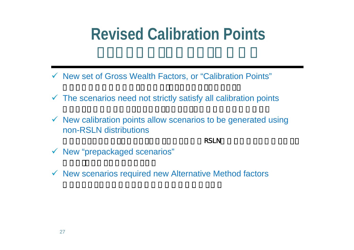## **Revised Calibration Points**

- 9 New set of Gross Wealth Factors, or "Calibration Points"
- $\checkmark$  The scenarios need not strictly satisfy all calibration points
- $\checkmark$  New calibration points allow scenarios to be generated using non-RSLN distributions

 $\mathsf{RSLN}$ 

- $\checkmark$  New "prepackaged scenarios"
- $\checkmark$  New scenarios required new Alternative Method factors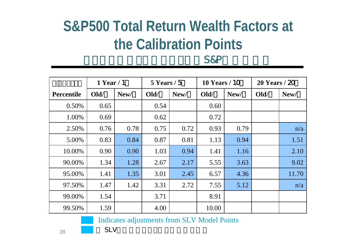### **S&P500 Total Return Wealth Factors at the Calibration Points** S&P

|                   | $1$ Year / 1 |      | $5$ Years / 5 |      | <b>10 Years / 10</b> |      | $20$ Years / $20$ |       |
|-------------------|--------------|------|---------------|------|----------------------|------|-------------------|-------|
| <b>Percentile</b> | Old/         | New/ | Old/          | New/ | Old/                 | New/ | Old/              | New/  |
| 0.50%             | 0.65         |      | 0.54          |      | 0.60                 |      |                   |       |
| 1.00%             | 0.69         |      | 0.62          |      | 0.72                 |      |                   |       |
| 2.50%             | 0.76         | 0.78 | 0.75          | 0.72 | 0.93                 | 0.79 |                   | n/a   |
| 5.00%             | 0.83         | 0.84 | 0.87          | 0.81 | 1.13                 | 0.94 |                   | 1.51  |
| 10.00%            | 0.90         | 0.90 | 1.03          | 0.94 | 1.41                 | 1.16 |                   | 2.10  |
| 90.00%            | 1.34         | 1.28 | 2.67          | 2.17 | 5.55                 | 3.63 |                   | 9.02  |
| 95.00%            | 1.41         | 1.35 | 3.01          | 2.45 | 6.57                 | 4.36 |                   | 11.70 |
| 97.50%            | 1.47         | 1.42 | 3.31          | 2.72 | 7.55                 | 5.12 |                   | n/a   |
| 99.00%            | 1.54         |      | 3.71          |      | 8.91                 |      |                   |       |
| 99.50%            | 1.59         |      | 4.00          |      | 10.00                |      |                   |       |

Indicates adjustments from SLV Model Points

SLV

28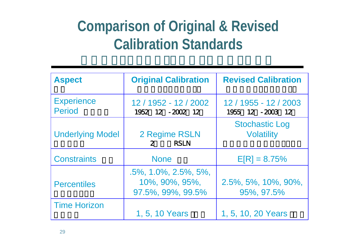### **Comparison of Original & Revised Calibration Standards**

| <b>Aspect</b>                      | <b>Original Calibration</b>                                         | <b>Revised Calibration</b>                 |
|------------------------------------|---------------------------------------------------------------------|--------------------------------------------|
| <b>Experience</b><br><b>Period</b> | 12 / 1952 - 12 / 2002<br>1952 12 - 2002 12                          | 12 / 1955 - 12 / 2003<br>1955 12 - 2003 12 |
| <b>Underlying Model</b>            | 2 Regime RSLN<br><b>RSLN</b><br>2 <sup>7</sup>                      | <b>Stochastic Log</b><br><b>Volatility</b> |
| <b>Constraints</b>                 | <b>None</b>                                                         | $E[R] = 8.75%$                             |
| <b>Percentiles</b>                 | $.5\%$ , 1.0%, 2.5%, 5%,<br>$10\%$ , 90%, 95%,<br>97.5%, 99%, 99.5% | $2.5\%$ , 5%, 10%, 90%,<br>95%, 97.5%      |
| <b>Time Horizon</b>                | 1, 5, 10 Years                                                      | 1, 5, 10, 20 Years                         |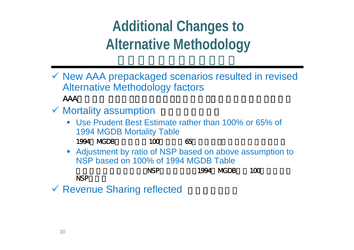## **Additional Changes to Alternative Methodology**

- 9 New AAA prepackaged scenarios resulted in revised Alternative Methodology factors AAA
- $\checkmark$  Mortality assumption  $\checkmark$ 
	- Use Prudent Best Estimate rather than 100% or 65% of 1994 MGDB Mortality Table

1994 MGDB 100 65

 Adjustment by ratio of NSP based on above assumption to NSP based on 100% of 1994 MGDB Table

NSP 1994 MGDB 100 NSP

◆ Revenue Sharing reflected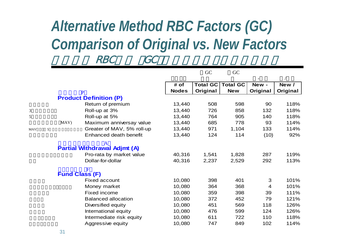### *Alternative Method RBC Factors (GC) Comparison of Original vs. New Factors* RBC GC

|     |   |                       |                                     |              | GC              | GC              |          |          |
|-----|---|-----------------------|-------------------------------------|--------------|-----------------|-----------------|----------|----------|
|     |   |                       |                                     | # of         | <b>Total GC</b> | <b>Total GC</b> | New-     | New /    |
|     |   |                       | $\overline{P}$                      | <b>Nodes</b> | Original        | <b>New</b>      | Original | Original |
|     |   |                       | <b>Product Definition (P)</b>       |              |                 |                 |          |          |
|     |   |                       | Return of premium                   | 13,440       | 508             | 598             | 90       | 118%     |
| 3   |   |                       | Roll-up at 3%                       | 13,440       | 726             | 858             | 132      | 118%     |
| 5   |   |                       | Roll-up at 5%                       | 13,440       | 764             | 905             | 140      | 118%     |
|     |   | MAV)                  | Maximum anniversay value            | 13,440       | 685             | 778             | 93       | 114%     |
| MAV | 5 |                       | Greater of MAV, 5% roll-up          | 13,440       | 971             | 1,104           | 133      | 114%     |
|     |   |                       | Enhanced death benefit              | 13,440       | 124             | 114             | (10)     | 92%      |
|     |   |                       | <b>Partial Withdrawal Adjmt (A)</b> |              |                 |                 |          |          |
|     |   |                       | Pro-rata by market value            | 40,316       | 1,541           | 1,828           | 287      | 119%     |
|     |   |                       | Dollar-for-dollar                   | 40,316       | 2,237           | 2,529           | 292      | 113%     |
|     |   | <b>Fund Class (F)</b> | F                                   |              |                 |                 |          |          |
|     |   |                       | <b>Fixed account</b>                | 10,080       | 398             | 401             | 3        | 101%     |
|     |   |                       | Money market                        | 10,080       | 364             | 368             | 4        | 101%     |
|     |   |                       | Fixed income                        | 10,080       | 359             | 398             | 39       | 111%     |
|     |   |                       | <b>Balanced allocation</b>          | 10,080       | 372             | 452             | 79       | 121%     |
|     |   |                       | Diversified equity                  | 10,080       | 451             | 569             | 118      | 126%     |
|     |   |                       | International equity                | 10,080       | 476             | 599             | 124      | 126%     |
|     |   |                       | Intermediate risk equity            | 10,080       | 611             | 722             | 110      | 118%     |
|     |   |                       | Aggressive equity                   | 10,080       | 747             | 849             | 102      | 114%     |

5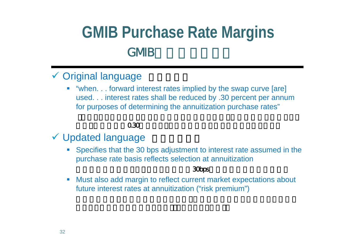## **GMIB Purchase Rate Margins** GMB

### ◆ Original language

 "when. . . forward interest rates implied by the swap curve [are] used. . . interest rates shall be reduced by .30 percent per annum for purposes of determining the annuitization purchase rates"

#### $0.30$

#### √ Updated language

П Specifies that the 30 bps adjustment to interest rate assumed in the purchase rate basis reflects selection at annuitization

#### $30\text{ps}$

 $\mathcal{C}$  Must also add margin to reflect current market expectations about future interest rates at annuitization ("risk premium")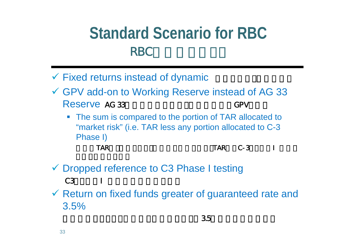## **Standard Scenario for RBC**RBC

- $\checkmark$  Fixed returns instead of dynamic
- GPV add-on to Working Reserve instead of AG 33 Reserve AG 33 and GPV GPV
	- $\mathbb{R}^n$  The sum is compared to the portion of TAR allocated to "market risk" (i.e. TAR less any portion allocated to C-3 Phase I)

- TAR TAR C-3
- ✔ Dropped reference to C3 Phase I testing C3 and the contract of the contract of the contract of the contract of the contract of the contract of the contract of the contract of the contract of the contract of the contract of the contract of the contract of the con
- $\checkmark$  Return on fixed funds greater of guaranteed rate and 3.5%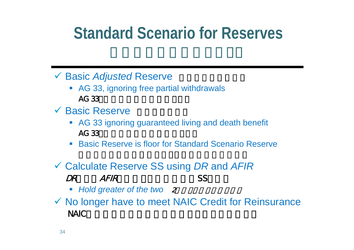## **Standard Scenario for Reserves**

◆ Basic *Adjusted* Reserve

- AG 33, ignoring free partial withdrawals AG 33
- $\checkmark$  Basic Reserve  $\checkmark$ 
	- AG 33 ignoring guaranteed living and death benefit AG 33
	- Basic Reserve is floor for Standard Scenario Reserve

### 9 Calculate Reserve SS using *DR* and *AFIR* DR AFIR

- Hold greater of the two 2
- $\checkmark$  No longer have to meet NAIC Credit for Reinsurance NAIC  $\blacksquare$